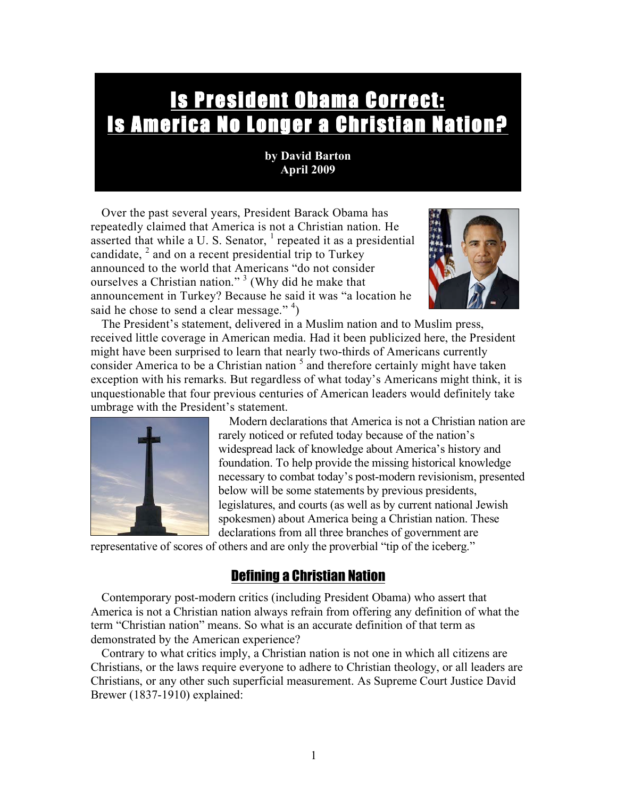# **Is President Obama Correct:** Is America No Longer a Ch

#### **by David Barton April 2009**

Over the past several years, President Barack Obama has repeatedly claimed that America is not a Christian nation. He asserted that while a U. S. Senator,  $\frac{1}{1}$  repeated it as a presidential candidate,  $<sup>2</sup>$  and on a recent presidential trip to Turkey</sup> announced to the world that Americans "do not consider ourselves a Christian nation."<sup>3</sup> (Why did he make that announcement in Turkey? Because he said it was "a location he said he chose to send a clear message."  $4$ )



The President's statement, delivered in a Muslim nation and to Muslim press, received little coverage in American media. Had it been publicized here, the President might have been surprised to learn that nearly two-thirds of Americans currently consider America to be a Christian nation<sup>5</sup> and therefore certainly might have taken exception with his remarks. But regardless of what today's Americans might think, it is unquestionable that four previous centuries of American leaders would definitely take umbrage with the President's statement.



Modern declarations that America is not a Christian nation are rarely noticed or refuted today because of the nation's widespread lack of knowledge about America's history and foundation. To help provide the missing historical knowledge necessary to combat today's post-modern revisionism, presented below will be some statements by previous presidents, legislatures, and courts (as well as by current national Jewish spokesmen) about America being a Christian nation. These declarations from all three branches of government are

representative of scores of others and are only the proverbial "tip of the iceberg."

# Defining a Christian Nation

Contemporary post-modern critics (including President Obama) who assert that America is not a Christian nation always refrain from offering any definition of what the term "Christian nation" means. So what is an accurate definition of that term as demonstrated by the American experience?

Contrary to what critics imply, a Christian nation is not one in which all citizens are Christians, or the laws require everyone to adhere to Christian theology, or all leaders are Christians, or any other such superficial measurement. As Supreme Court Justice David Brewer (1837-1910) explained: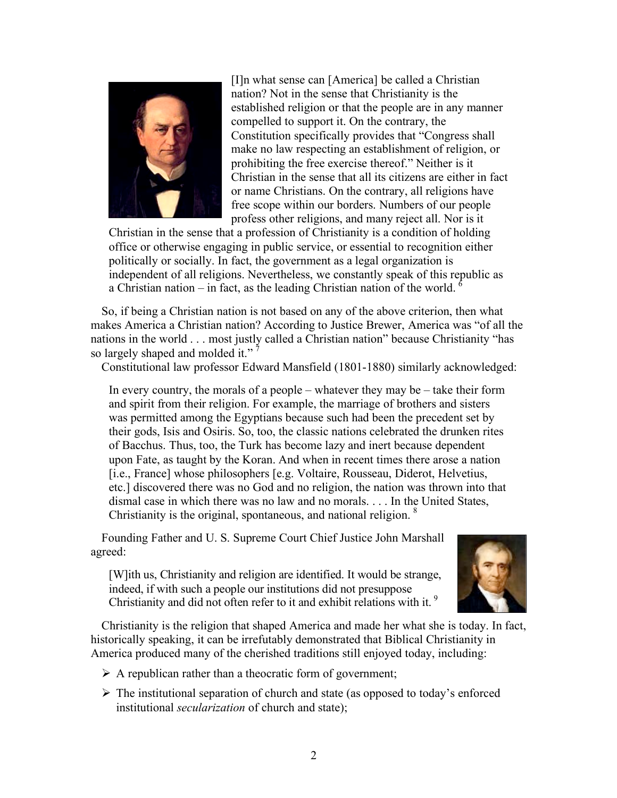

[I]n what sense can [America] be called a Christian nation? Not in the sense that Christianity is the established religion or that the people are in any manner compelled to support it. On the contrary, the Constitution specifically provides that "Congress shall make no law respecting an establishment of religion, or prohibiting the free exercise thereof." Neither is it Christian in the sense that all its citizens are either in fact or name Christians. On the contrary, all religions have free scope within our borders. Numbers of our people profess other religions, and many reject all. Nor is it

Christian in the sense that a profession of Christianity is a condition of holding office or otherwise engaging in public service, or essential to recognition either politically or socially. In fact, the government as a legal organization is independent of all religions. Nevertheless, we constantly speak of this republic as a Christian nation – in fact, as the leading Christian nation of the world. 6

So, if being a Christian nation is not based on any of the above criterion, then what makes America a Christian nation? According to Justice Brewer, America was "of all the nations in the world . . . most justly called a Christian nation" because Christianity "has so largely shaped and molded it."<sup>7</sup>

Constitutional law professor Edward Mansfield (1801-1880) similarly acknowledged:

In every country, the morals of a people – whatever they may be – take their form and spirit from their religion. For example, the marriage of brothers and sisters was permitted among the Egyptians because such had been the precedent set by their gods, Isis and Osiris. So, too, the classic nations celebrated the drunken rites of Bacchus. Thus, too, the Turk has become lazy and inert because dependent upon Fate, as taught by the Koran. And when in recent times there arose a nation [i.e., France] whose philosophers [e.g. Voltaire, Rousseau, Diderot, Helvetius, etc.] discovered there was no God and no religion, the nation was thrown into that dismal case in which there was no law and no morals. . . . In the United States, Christianity is the original, spontaneous, and national religion.<sup>8</sup>

Founding Father and U. S. Supreme Court Chief Justice John Marshall agreed:

[W]ith us, Christianity and religion are identified. It would be strange, indeed, if with such a people our institutions did not presuppose Christianity and did not often refer to it and exhibit relations with it.<sup>9</sup>



Christianity is the religion that shaped America and made her what she is today. In fact, historically speaking, it can be irrefutably demonstrated that Biblical Christianity in America produced many of the cherished traditions still enjoyed today, including:

- $\triangleright$  A republican rather than a theocratic form of government;
- $\triangleright$  The institutional separation of church and state (as opposed to today's enforced institutional *secularization* of church and state);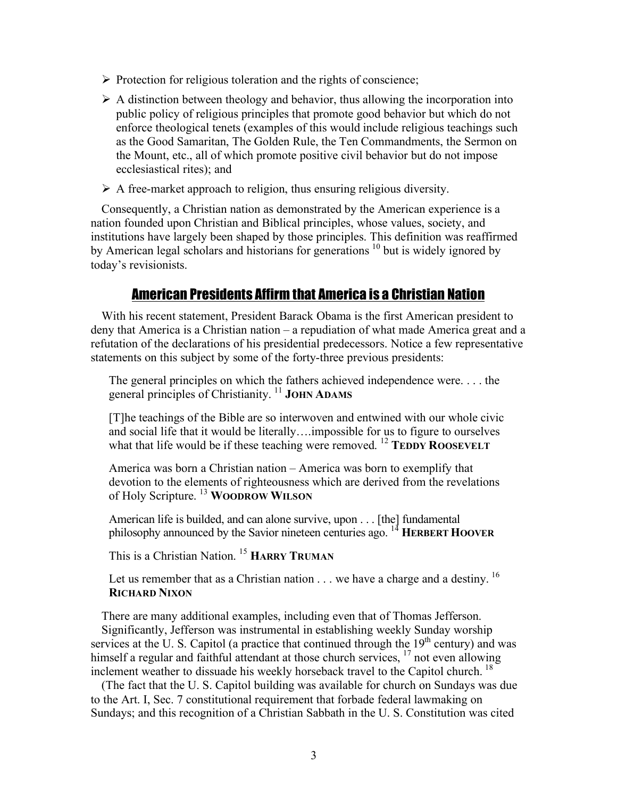- $\triangleright$  Protection for religious toleration and the rights of conscience;
- $\triangleright$  A distinction between theology and behavior, thus allowing the incorporation into public policy of religious principles that promote good behavior but which do not enforce theological tenets (examples of this would include religious teachings such as the Good Samaritan, The Golden Rule, the Ten Commandments, the Sermon on the Mount, etc., all of which promote positive civil behavior but do not impose ecclesiastical rites); and
- $\triangleright$  A free-market approach to religion, thus ensuring religious diversity.

Consequently, a Christian nation as demonstrated by the American experience is a nation founded upon Christian and Biblical principles, whose values, society, and institutions have largely been shaped by those principles. This definition was reaffirmed by American legal scholars and historians for generations 10 but is widely ignored by today's revisionists.

### American Presidents Affirm that America is a Christian Nation

With his recent statement, President Barack Obama is the first American president to deny that America is a Christian nation – a repudiation of what made America great and a refutation of the declarations of his presidential predecessors. Notice a few representative statements on this subject by some of the forty-three previous presidents:

The general principles on which the fathers achieved independence were. . . . the general principles of Christianity. 11 **JOHN ADAMS**

[T]he teachings of the Bible are so interwoven and entwined with our whole civic and social life that it would be literally….impossible for us to figure to ourselves what that life would be if these teaching were removed. <sup>12</sup> **TEDDY ROOSEVELT** 

America was born a Christian nation – America was born to exemplify that devotion to the elements of righteousness which are derived from the revelations of Holy Scripture. <sup>13</sup> **WOODROW WILSON**

American life is builded, and can alone survive, upon . . . [the] fundamental philosophy announced by the Savior nineteen centuries ago. 14 **HERBERT HOOVER**

This is a Christian Nation. 15 **HARRY TRUMAN**

Let us remember that as a Christian nation  $\ldots$  we have a charge and a destiny. <sup>16</sup> **RICHARD NIXON**

There are many additional examples, including even that of Thomas Jefferson. Significantly, Jefferson was instrumental in establishing weekly Sunday worship services at the U. S. Capitol (a practice that continued through the  $19<sup>th</sup>$  century) and was himself a regular and faithful attendant at those church services, <sup>17</sup> not even allowing inclement weather to dissuade his weekly horseback travel to the Capitol church.<sup>18</sup>

(The fact that the U. S. Capitol building was available for church on Sundays was due to the Art. I, Sec. 7 constitutional requirement that forbade federal lawmaking on Sundays; and this recognition of a Christian Sabbath in the U. S. Constitution was cited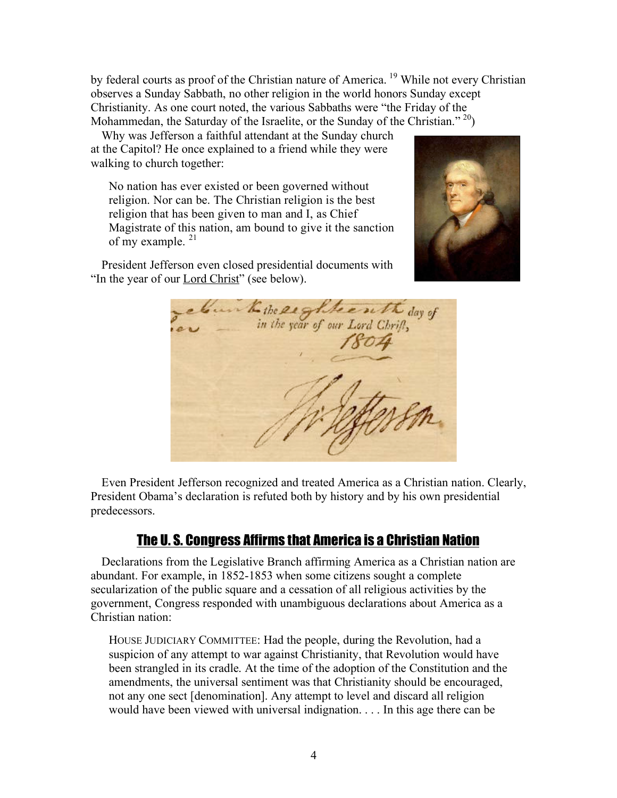by federal courts as proof of the Christian nature of America.<sup>19</sup> While not every Christian observes a Sunday Sabbath, no other religion in the world honors Sunday except Christianity. As one court noted, the various Sabbaths were "the Friday of the Mohammedan, the Saturday of the Israelite, or the Sunday of the Christian."  $20$ )

Why was Jefferson a faithful attendant at the Sunday church at the Capitol? He once explained to a friend while they were walking to church together:

No nation has ever existed or been governed without religion. Nor can be. The Christian religion is the best religion that has been given to man and I, as Chief Magistrate of this nation, am bound to give it the sanction of my example.  $21$ 



President Jefferson even closed presidential documents with "In the year of our Lord Christ" (see below).



Even President Jefferson recognized and treated America as a Christian nation. Clearly, President Obama's declaration is refuted both by history and by his own presidential predecessors.

# The U. S. Congress Affirms that America is a Christian Nation

Declarations from the Legislative Branch affirming America as a Christian nation are abundant. For example, in 1852-1853 when some citizens sought a complete secularization of the public square and a cessation of all religious activities by the government, Congress responded with unambiguous declarations about America as a Christian nation:

HOUSE JUDICIARY COMMITTEE: Had the people, during the Revolution, had a suspicion of any attempt to war against Christianity, that Revolution would have been strangled in its cradle. At the time of the adoption of the Constitution and the amendments, the universal sentiment was that Christianity should be encouraged, not any one sect [denomination]. Any attempt to level and discard all religion would have been viewed with universal indignation. . . . In this age there can be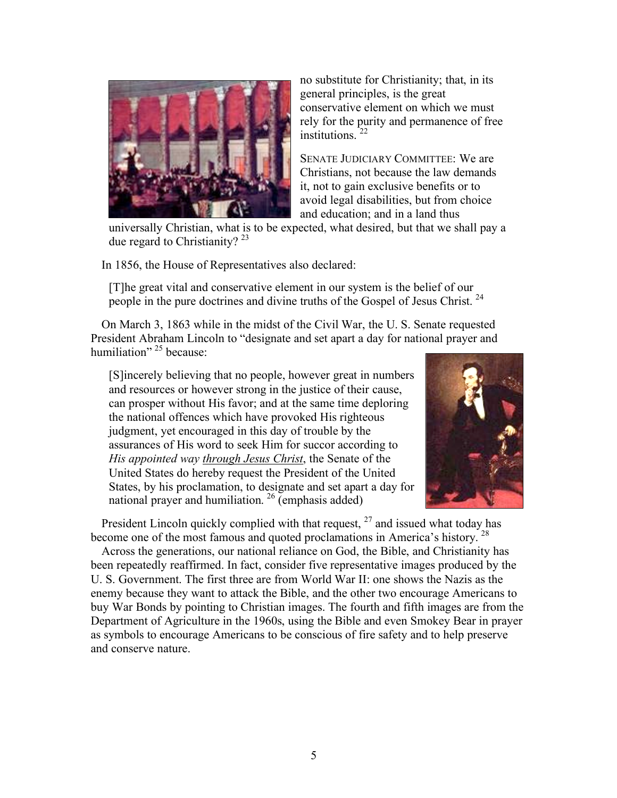

no substitute for Christianity; that, in its general principles, is the great conservative element on which we must rely for the purity and permanence of free institutions. 22

SENATE JUDICIARY COMMITTEE: We are Christians, not because the law demands it, not to gain exclusive benefits or to avoid legal disabilities, but from choice and education; and in a land thus

universally Christian, what is to be expected, what desired, but that we shall pay a due regard to Christianity?  $23$ 

In 1856, the House of Representatives also declared:

[T]he great vital and conservative element in our system is the belief of our people in the pure doctrines and divine truths of the Gospel of Jesus Christ. 24

On March 3, 1863 while in the midst of the Civil War, the U. S. Senate requested President Abraham Lincoln to "designate and set apart a day for national prayer and humiliation" <sup>25</sup> because:

[S]incerely believing that no people, however great in numbers and resources or however strong in the justice of their cause, can prosper without His favor; and at the same time deploring the national offences which have provoked His righteous judgment, yet encouraged in this day of trouble by the assurances of His word to seek Him for succor according to *His appointed way through Jesus Christ*, the Senate of the United States do hereby request the President of the United States, by his proclamation, to designate and set apart a day for national prayer and humiliation.  $^{26}$  (emphasis added)



President Lincoln quickly complied with that request,  $27$  and issued what today has become one of the most famous and quoted proclamations in America's history.<sup>28</sup> Across the generations, our national reliance on God, the Bible, and Christianity has been repeatedly reaffirmed. In fact, consider five representative images produced by the U. S. Government. The first three are from World War II: one shows the Nazis as the enemy because they want to attack the Bible, and the other two encourage Americans to buy War Bonds by pointing to Christian images. The fourth and fifth images are from the Department of Agriculture in the 1960s, using the Bible and even Smokey Bear in prayer as symbols to encourage Americans to be conscious of fire safety and to help preserve and conserve nature.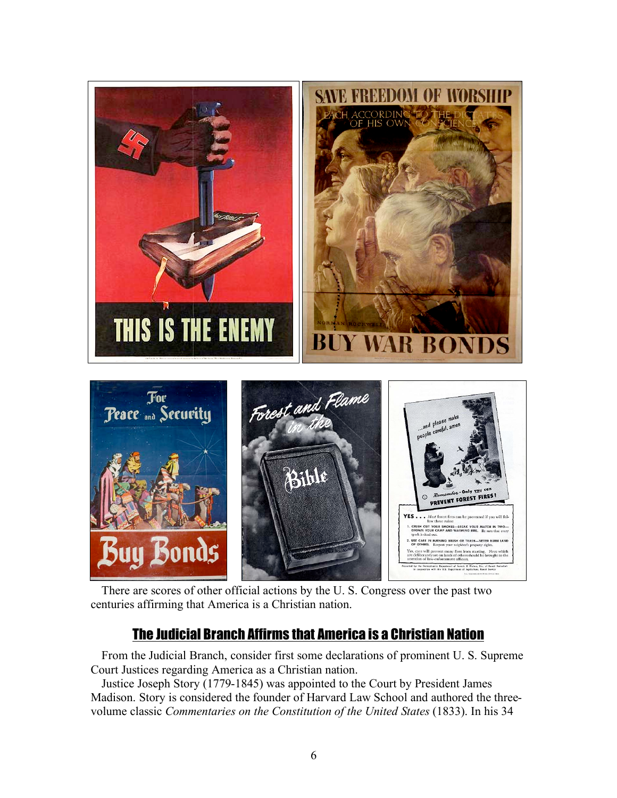

There are scores of other official actions by the U. S. Congress over the past two centuries affirming that America is a Christian nation.

# The Judicial Branch Affirms that America is a Christian Nation

From the Judicial Branch, consider first some declarations of prominent U. S. Supreme Court Justices regarding America as a Christian nation.

Justice Joseph Story (1779-1845) was appointed to the Court by President James Madison. Story is considered the founder of Harvard Law School and authored the threevolume classic *Commentaries on the Constitution of the United States* (1833). In his 34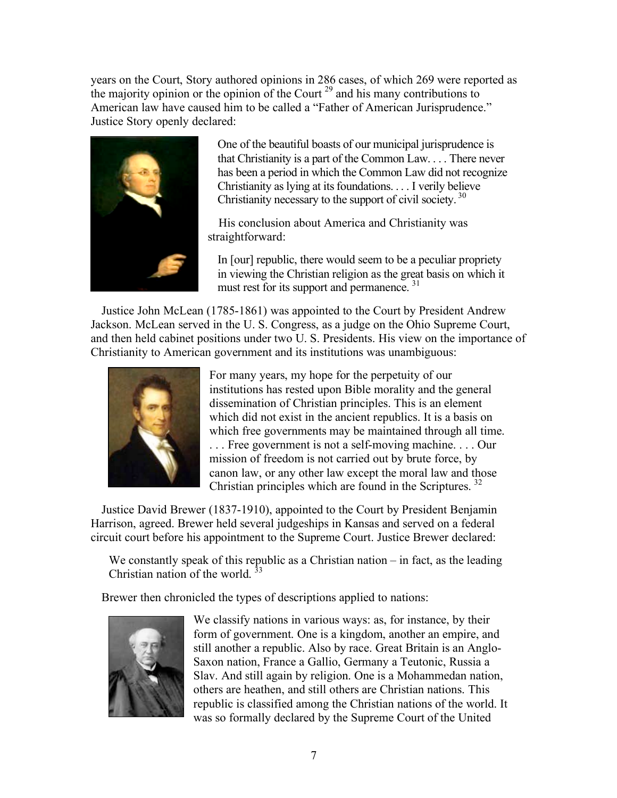years on the Court, Story authored opinions in 286 cases, of which 269 were reported as the majority opinion or the opinion of the Court<sup>29</sup> and his many contributions to American law have caused him to be called a "Father of American Jurisprudence." Justice Story openly declared:



One of the beautiful boasts of our municipal jurisprudence is that Christianity is a part of the Common Law. . . . There never has been a period in which the Common Law did not recognize Christianity as lying at its foundations. . . . I verily believe Christianity necessary to the support of civil society.<sup>30</sup>

His conclusion about America and Christianity was straightforward:

In [our] republic, there would seem to be a peculiar propriety in viewing the Christian religion as the great basis on which it must rest for its support and permanence.<sup>31</sup>

Justice John McLean (1785-1861) was appointed to the Court by President Andrew Jackson. McLean served in the U. S. Congress, as a judge on the Ohio Supreme Court, and then held cabinet positions under two U. S. Presidents. His view on the importance of Christianity to American government and its institutions was unambiguous:



For many years, my hope for the perpetuity of our institutions has rested upon Bible morality and the general dissemination of Christian principles. This is an element which did not exist in the ancient republics. It is a basis on which free governments may be maintained through all time. . . . Free government is not a self-moving machine. . . . Our mission of freedom is not carried out by brute force, by canon law, or any other law except the moral law and those Christian principles which are found in the Scriptures.  $32$ 

Justice David Brewer (1837-1910), appointed to the Court by President Benjamin Harrison, agreed. Brewer held several judgeships in Kansas and served on a federal circuit court before his appointment to the Supreme Court. Justice Brewer declared:

We constantly speak of this republic as a Christian nation – in fact, as the leading Christian nation of the world.  $3\overline{3}$ 

Brewer then chronicled the types of descriptions applied to nations:



We classify nations in various ways: as, for instance, by their form of government. One is a kingdom, another an empire, and still another a republic. Also by race. Great Britain is an Anglo-Saxon nation, France a Gallio, Germany a Teutonic, Russia a Slav. And still again by religion. One is a Mohammedan nation, others are heathen, and still others are Christian nations. This republic is classified among the Christian nations of the world. It was so formally declared by the Supreme Court of the United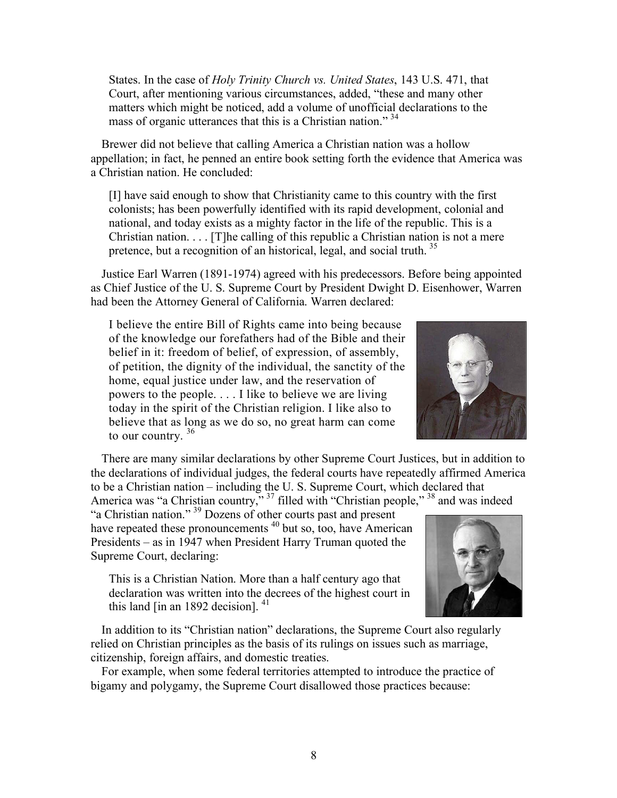States. In the case of *Holy Trinity Church vs. United States*, 143 U.S. 471, that Court, after mentioning various circumstances, added, "these and many other matters which might be noticed, add a volume of unofficial declarations to the mass of organic utterances that this is a Christian nation."<sup>34</sup>

Brewer did not believe that calling America a Christian nation was a hollow appellation; in fact, he penned an entire book setting forth the evidence that America was a Christian nation. He concluded:

[I] have said enough to show that Christianity came to this country with the first colonists; has been powerfully identified with its rapid development, colonial and national, and today exists as a mighty factor in the life of the republic. This is a Christian nation. . . . [T]he calling of this republic a Christian nation is not a mere pretence, but a recognition of an historical, legal, and social truth.<sup>35</sup>

Justice Earl Warren (1891-1974) agreed with his predecessors. Before being appointed as Chief Justice of the U. S. Supreme Court by President Dwight D. Eisenhower, Warren had been the Attorney General of California. Warren declared:

I believe the entire Bill of Rights came into being because of the knowledge our forefathers had of the Bible and their belief in it: freedom of belief, of expression, of assembly, of petition, the dignity of the individual, the sanctity of the home, equal justice under law, and the reservation of powers to the people. . . . I like to believe we are living today in the spirit of the Christian religion. I like also to believe that as long as we do so, no great harm can come to our country.  $36$ 



There are many similar declarations by other Supreme Court Justices, but in addition to the declarations of individual judges, the federal courts have repeatedly affirmed America to be a Christian nation – including the U. S. Supreme Court, which declared that

America was "a Christian country,"<sup>37</sup> filled with "Christian people,"<sup>38</sup> and was indeed "a Christian nation." 39 Dozens of other courts past and present have repeated these pronouncements <sup>40</sup> but so, too, have American Presidents – as in 1947 when President Harry Truman quoted the Supreme Court, declaring:

This is a Christian Nation. More than a half century ago that declaration was written into the decrees of the highest court in this land  $\left[ \text{in an } 1892 \text{ decision} \right]$ .<sup>41</sup>



In addition to its "Christian nation" declarations, the Supreme Court also regularly relied on Christian principles as the basis of its rulings on issues such as marriage, citizenship, foreign affairs, and domestic treaties.

For example, when some federal territories attempted to introduce the practice of bigamy and polygamy, the Supreme Court disallowed those practices because: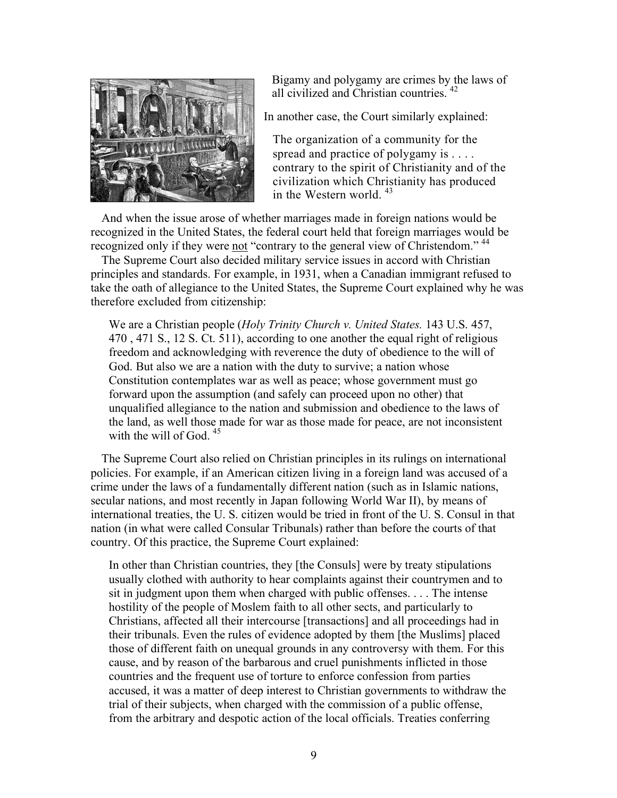

Bigamy and polygamy are crimes by the laws of all civilized and Christian countries. 42

In another case, the Court similarly explained:

The organization of a community for the spread and practice of polygamy is . . . . contrary to the spirit of Christianity and of the civilization which Christianity has produced in the Western world. <sup>43</sup>

And when the issue arose of whether marriages made in foreign nations would be recognized in the United States, the federal court held that foreign marriages would be recognized only if they were not "contrary to the general view of Christendom."<sup>44</sup>

The Supreme Court also decided military service issues in accord with Christian principles and standards. For example, in 1931, when a Canadian immigrant refused to take the oath of allegiance to the United States, the Supreme Court explained why he was therefore excluded from citizenship:

We are a Christian people (*Holy Trinity Church v. United States.* 143 U.S. 457, 470 , 471 S., 12 S. Ct. 511), according to one another the equal right of religious freedom and acknowledging with reverence the duty of obedience to the will of God. But also we are a nation with the duty to survive; a nation whose Constitution contemplates war as well as peace; whose government must go forward upon the assumption (and safely can proceed upon no other) that unqualified allegiance to the nation and submission and obedience to the laws of the land, as well those made for war as those made for peace, are not inconsistent with the will of God.  $45$ 

The Supreme Court also relied on Christian principles in its rulings on international policies. For example, if an American citizen living in a foreign land was accused of a crime under the laws of a fundamentally different nation (such as in Islamic nations, secular nations, and most recently in Japan following World War II), by means of international treaties, the U. S. citizen would be tried in front of the U. S. Consul in that nation (in what were called Consular Tribunals) rather than before the courts of that country. Of this practice, the Supreme Court explained:

In other than Christian countries, they [the Consuls] were by treaty stipulations usually clothed with authority to hear complaints against their countrymen and to sit in judgment upon them when charged with public offenses. . . . The intense hostility of the people of Moslem faith to all other sects, and particularly to Christians, affected all their intercourse [transactions] and all proceedings had in their tribunals. Even the rules of evidence adopted by them [the Muslims] placed those of different faith on unequal grounds in any controversy with them. For this cause, and by reason of the barbarous and cruel punishments inflicted in those countries and the frequent use of torture to enforce confession from parties accused, it was a matter of deep interest to Christian governments to withdraw the trial of their subjects, when charged with the commission of a public offense, from the arbitrary and despotic action of the local officials. Treaties conferring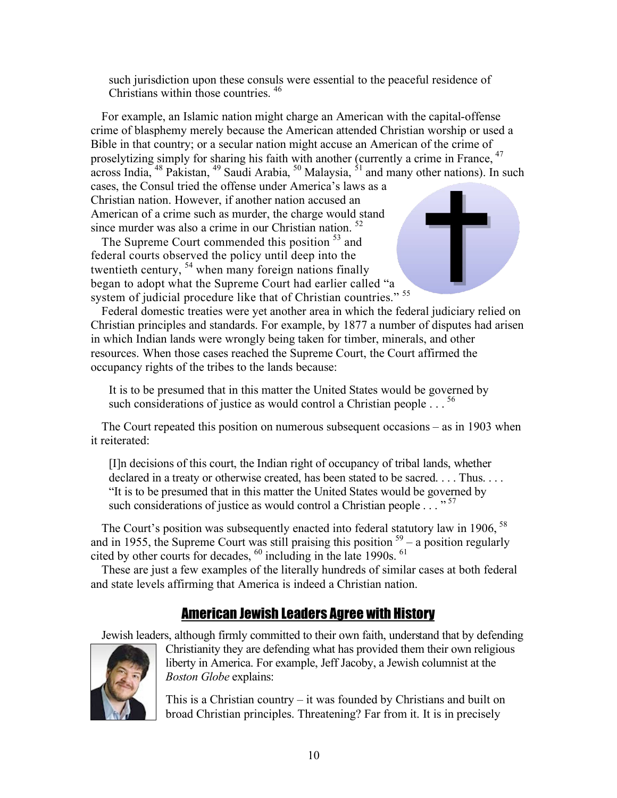such jurisdiction upon these consuls were essential to the peaceful residence of Christians within those countries. 46

For example, an Islamic nation might charge an American with the capital-offense crime of blasphemy merely because the American attended Christian worship or used a Bible in that country; or a secular nation might accuse an American of the crime of proselytizing simply for sharing his faith with another (currently a crime in France, <sup>47</sup> across India,  $^{48}$  Pakistan,  $^{49}$  Saudi Arabia,  $^{50}$  Malaysia,  $^{51}$  and many other nations). In such

cases, the Consul tried the offense under America's laws as a Christian nation. However, if another nation accused an American of a crime such as murder, the charge would stand since murder was also a crime in our Christian nation.<sup>52</sup>

The Supreme Court commended this position <sup>53</sup> and federal courts observed the policy until deep into the twentieth century,  $54$  when many foreign nations finally began to adopt what the Supreme Court had earlier called "a system of judicial procedure like that of Christian countries."<sup>55</sup>



Federal domestic treaties were yet another area in which the federal judiciary relied on Christian principles and standards. For example, by 1877 a number of disputes had arisen in which Indian lands were wrongly being taken for timber, minerals, and other resources. When those cases reached the Supreme Court, the Court affirmed the occupancy rights of the tribes to the lands because:

It is to be presumed that in this matter the United States would be governed by such considerations of justice as would control a Christian people  $\ldots$ <sup>56</sup>

The Court repeated this position on numerous subsequent occasions – as in 1903 when it reiterated:

[I]n decisions of this court, the Indian right of occupancy of tribal lands, whether declared in a treaty or otherwise created, has been stated to be sacred. . . . Thus. . . . "It is to be presumed that in this matter the United States would be governed by such considerations of justice as would control a Christian people  $\ldots$ <sup>57</sup>

The Court's position was subsequently enacted into federal statutory law in 1906, <sup>58</sup> and in 1955, the Supreme Court was still praising this position  $\frac{59}{9}$  – a position regularly cited by other courts for decades,  $^{60}$  including in the late 1990s.  $^{61}$ 

These are just a few examples of the literally hundreds of similar cases at both federal and state levels affirming that America is indeed a Christian nation.

# American Jewish Leaders Agree with History

Jewish leaders, although firmly committed to their own faith, understand that by defending



Christianity they are defending what has provided them their own religious liberty in America. For example, Jeff Jacoby, a Jewish columnist at the *Boston Globe* explains:

This is a Christian country – it was founded by Christians and built on broad Christian principles. Threatening? Far from it. It is in precisely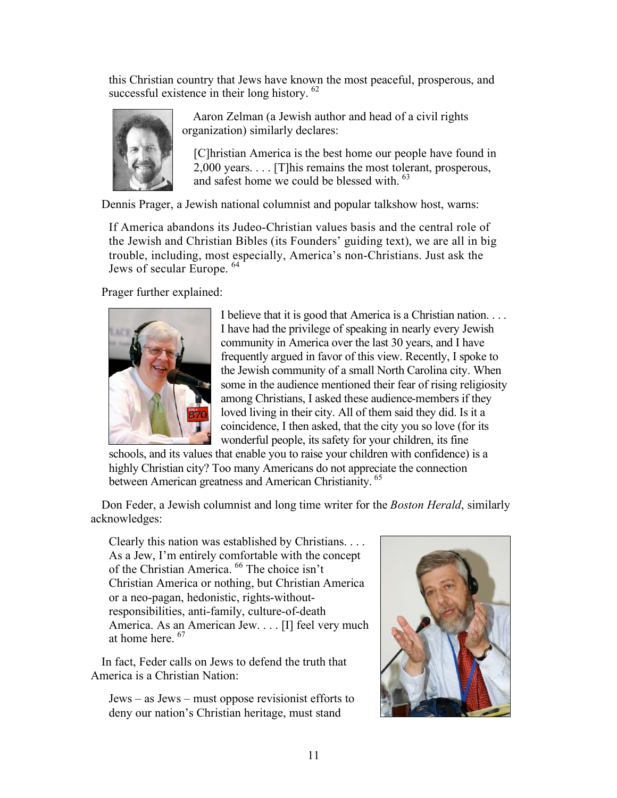this Christian country that Jews have known the most peaceful, prosperous, and successful existence in their long history. <sup>62</sup>



Aaron Zelman (a Jewish author and head of a civil rights organization) similarly declares:

[C]hristian America is the best home our people have found in 2,000 years. . . . [T]his remains the most tolerant, prosperous, and safest home we could be blessed with. <sup>63</sup>

Dennis Prager, a Jewish national columnist and popular talkshow host, warns:

If America abandons its Judeo-Christian values basis and the central role of the Jewish and Christian Bibles (its Founders' guiding text), we are all in big trouble, including, most especially, America's non-Christians. Just ask the Jews of secular Europe. <sup>64</sup>

Prager further explained:



I believe that it is good that America is a Christian nation. . . . I have had the privilege of speaking in nearly every Jewish community in America over the last 30 years, and I have frequently argued in favor of this view. Recently, I spoke to the Jewish community of a small North Carolina city. When some in the audience mentioned their fear of rising religiosity among Christians, I asked these audience-members if they loved living in their city. All of them said they did. Is it a coincidence, I then asked, that the city you so love (for its wonderful people, its safety for your children, its fine

schools, and its values that enable you to raise your children with confidence) is a highly Christian city? Too many Americans do not appreciate the connection between American greatness and American Christianity.<sup>65</sup>

Don Feder, a Jewish columnist and long time writer for the *Boston Herald*, similarly acknowledges:

Clearly this nation was established by Christians. . . . As a Jew, I'm entirely comfortable with the concept of the Christian America. 66 The choice isn't Christian America or nothing, but Christian America or a neo-pagan, hedonistic, rights-withoutresponsibilities, anti-family, culture-of-death America. As an American Jew. . . . [I] feel very much at home here.  $67$ 

In fact, Feder calls on Jews to defend the truth that America is a Christian Nation:

Jews – as Jews – must oppose revisionist efforts to deny our nation's Christian heritage, must stand

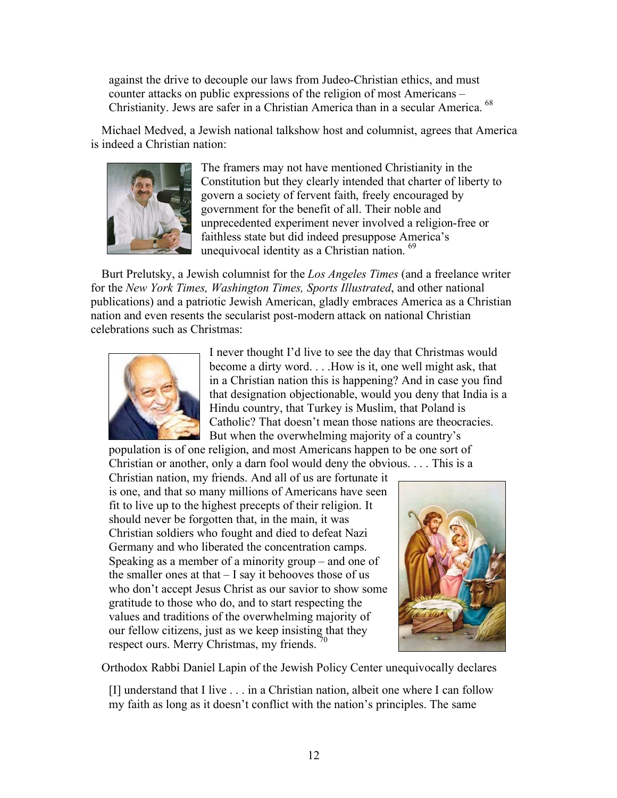against the drive to decouple our laws from Judeo-Christian ethics, and must counter attacks on public expressions of the religion of most Americans – Christianity. Jews are safer in a Christian America than in a secular America. 68

Michael Medved, a Jewish national talkshow host and columnist, agrees that America is indeed a Christian nation:



The framers may not have mentioned Christianity in the Constitution but they clearly intended that charter of liberty to govern a society of fervent faith, freely encouraged by government for the benefit of all. Their noble and unprecedented experiment never involved a religion-free or faithless state but did indeed presuppose America's unequivocal identity as a Christian nation. <sup>69</sup>

Burt Prelutsky, a Jewish columnist for the *Los Angeles Times* (and a freelance writer for the *New York Times, Washington Times, Sports Illustrated*, and other national publications) and a patriotic Jewish American, gladly embraces America as a Christian nation and even resents the secularist post-modern attack on national Christian celebrations such as Christmas:



I never thought I'd live to see the day that Christmas would become a dirty word. . . .How is it, one well might ask, that in a Christian nation this is happening? And in case you find that designation objectionable, would you deny that India is a Hindu country, that Turkey is Muslim, that Poland is Catholic? That doesn't mean those nations are theocracies. But when the overwhelming majority of a country's

population is of one religion, and most Americans happen to be one sort of Christian or another, only a darn fool would deny the obvious. . . . This is a

Christian nation, my friends. And all of us are fortunate it is one, and that so many millions of Americans have seen fit to live up to the highest precepts of their religion. It should never be forgotten that, in the main, it was Christian soldiers who fought and died to defeat Nazi Germany and who liberated the concentration camps. Speaking as a member of a minority group – and one of the smaller ones at that  $-1$  say it behooves those of us who don't accept Jesus Christ as our savior to show some gratitude to those who do, and to start respecting the values and traditions of the overwhelming majority of our fellow citizens, just as we keep insisting that they respect ours. Merry Christmas, my friends.<sup>7</sup>



Orthodox Rabbi Daniel Lapin of the Jewish Policy Center unequivocally declares

[I] understand that I live . . . in a Christian nation, albeit one where I can follow my faith as long as it doesn't conflict with the nation's principles. The same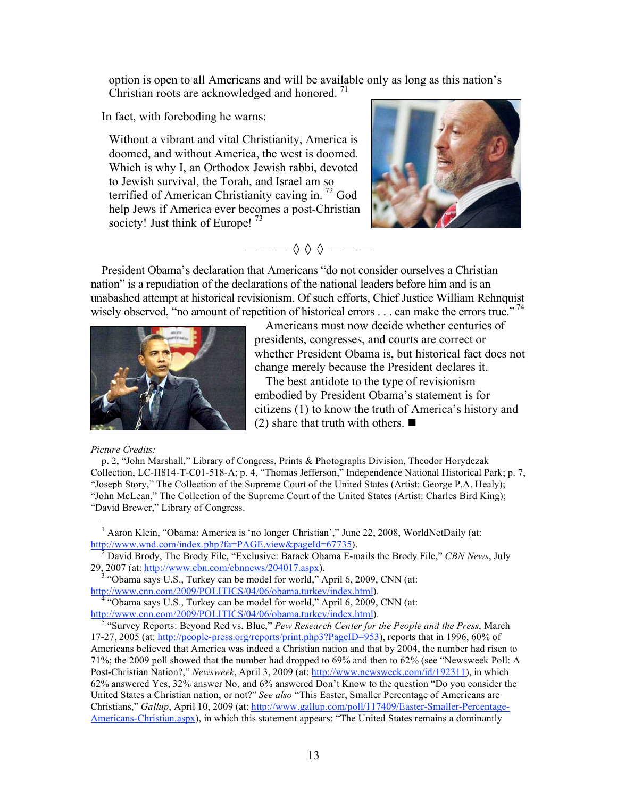option is open to all Americans and will be available only as long as this nation's Christian roots are acknowledged and honored.<sup>71</sup>

In fact, with foreboding he warns:

Without a vibrant and vital Christianity, America is doomed, and without America, the west is doomed. Which is why I, an Orthodox Jewish rabbi, devoted to Jewish survival, the Torah, and Israel am so terrified of American Christianity caving in.  $^{72}$  God help Jews if America ever becomes a post-Christian society! Just think of Europe!  $^{73}$ 





President Obama's declaration that Americans "do not consider ourselves a Christian nation" is a repudiation of the declarations of the national leaders before him and is an unabashed attempt at historical revisionism. Of such efforts, Chief Justice William Rehnquist wisely observed, "no amount of repetition of historical errors . . . can make the errors true."<sup>74</sup>



Americans must now decide whether centuries of presidents, congresses, and courts are correct or whether President Obama is, but historical fact does not change merely because the President declares it.

The best antidote to the type of revisionism embodied by President Obama's statement is for citizens (1) to know the truth of America's history and (2) share that truth with others.  $\blacksquare$ 

#### *Picture Credits:*

p. 2, "John Marshall," Library of Congress, Prints & Photographs Division, Theodor Horydczak Collection, LC-H814-T-C01-518-A; p. 4, "Thomas Jefferson," Independence National Historical Park; p. 7, "Joseph Story," The Collection of the Supreme Court of the United States (Artist: George P.A. Healy); "John McLean," The Collection of the Supreme Court of the United States (Artist: Charles Bird King); "David Brewer," Library of Congress.

 $\frac{1}{1}$ <sup>1</sup> Aaron Klein, "Obama: America is 'no longer Christian'," June 22, 2008, WorldNetDaily (at: http://www.wnd.com/index.php?fa=PAGE.view&pageId=67735).

David Brody, The Brody File, "Exclusive: Barack Obama E-mails the Brody File," *CBN News*, July 29, 2007 (at: http://www.cbn.com/cbnnews/204017.aspx). <sup>3</sup>

<sup>&</sup>lt;sup>3</sup> "Obama says U.S., Turkey can be model for world," April 6, 2009, CNN (at:

http://www.cnn.com/2009/POLITICS/04/06/obama.turkey/index.html).<br><sup>4</sup> "Obama says U.S., Turkey can be model for world," April 6, 2009, CNN (at: http://www.cnn.com/2009/POLITICS/04/06/obama.turkey/index.html).

<sup>&</sup>lt;sup>5</sup> "Survey Reports: Beyond Red vs. Blue," *Pew Research Center for the People and the Press*, March 17-27, 2005 (at: http://people-press.org/reports/print.php3?PageID=953), reports that in 1996, 60% of Americans believed that America was indeed a Christian nation and that by 2004, the number had risen to 71%; the 2009 poll showed that the number had dropped to 69% and then to 62% (see "Newsweek Poll: A Post-Christian Nation?," *Newsweek*, April 3, 2009 (at: http://www.newsweek.com/id/192311), in which 62% answered Yes, 32% answer No, and 6% answered Don't Know to the question "Do you consider the United States a Christian nation, or not?" *See also* "This Easter, Smaller Percentage of Americans are Christians," *Gallup*, April 10, 2009 (at: http://www.gallup.com/poll/117409/Easter-Smaller-Percentage-Americans-Christian.aspx), in which this statement appears: "The United States remains a dominantly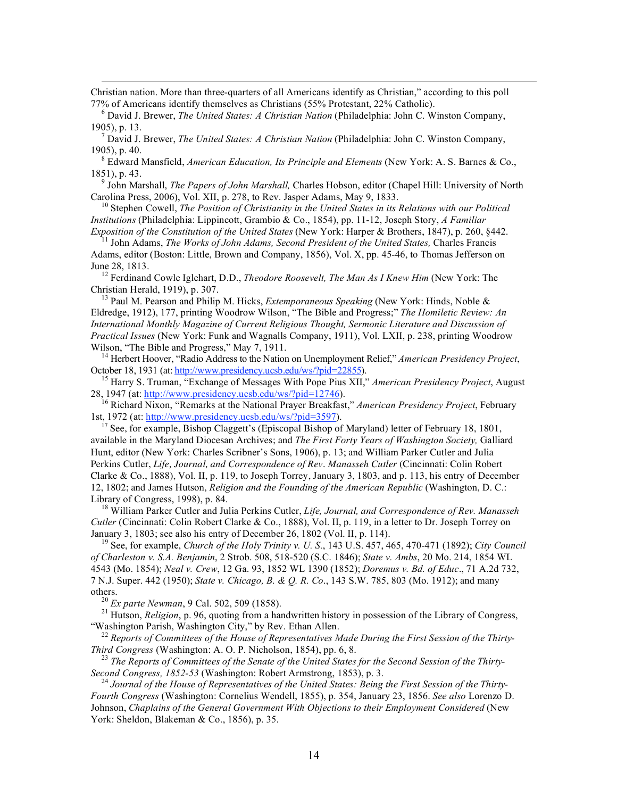Christian nation. More than three-quarters of all Americans identify as Christian," according to this poll 77% of Americans identify themselves as Christians (55% Protestant, 22% Catholic). <sup>6</sup>

 David J. Brewer, *The United States: A Christian Nation* (Philadelphia: John C. Winston Company, 1905), p. 13. <sup>7</sup>

 David J. Brewer, *The United States: A Christian Nation* (Philadelphia: John C. Winston Company, 1905), p. 40. <sup>8</sup> Edward Mansfield, *American Education, Its Principle and Elements* (New York: A. S. Barnes & Co.,

1851), p. 43. <sup>9</sup>

<sup>9</sup> John Marshall, *The Papers of John Marshall*, Charles Hobson, editor (Chapel Hill: University of North Carolina Press, 2006), Vol. XII, p. 278, to Rev. Jasper Adams, May 9, 1833.

<sup>10</sup> Stephen Cowell, *The Position of Christianity in the United States in its Relations with our Political Institutions* (Philadelphia: Lippincott, Grambio & Co., 1854), pp. 11-12, Joseph Story, *A Familiar* 

<sup>11</sup> John Adams, *The Works of John Adams, Second President of the United States, Charles Francis* Adams, editor (Boston: Little, Brown and Company, 1856), Vol. X, pp. 45-46, to Thomas Jefferson on

June 28, 1813.<br><sup>12</sup> Ferdinand Cowle Iglehart, D.D., *Theodore Roosevelt, The Man As I Knew Him* (New York: The Christian Herald, 1919), p. 307.

<sup>13</sup> Paul M. Pearson and Philip M. Hicks, *Extemporaneous Speaking* (New York: Hinds, Noble & Eldredge, 1912), 177, printing Woodrow Wilson, "The Bible and Progress;" *The Homiletic Review: An International Monthly Magazine of Current Religious Thought, Sermonic Literature and Discussion of Practical Issues* (New York: Funk and Wagnalls Company, 1911), Vol. LXII, p. 238, printing Woodrow

Wilson, "The Bible and Progress," May 7, 1911.<br><sup>14</sup> Herbert Hoover, "Radio Address to the Nation on Unemployment Relief," *American Presidency Project*, October 18, 1931 (at: http://www.presidency.ucsb.edu/ws/?pid=22855).

<sup>15</sup> Harry S. Truman, "Exchange of Messages With Pope Pius XII," *American Presidency Project*, August 28, 1947 (at: http://www.presidency.ucsb.edu/ws/?pid=12746).

<sup>26</sup> Richard Nixon, "Remarks at the National Prayer Breakfast," *American Presidency Project*, February 1st, 1972 (at: http://www.presidency.ucsb.edu/ws/?pid=3597).

 $17$  See, for example, Bishop Claggett's (Episcopal Bishop of Maryland) letter of February 18, 1801, available in the Maryland Diocesan Archives; and *The First Forty Years of Washington Society,* Galliard Hunt, editor (New York: Charles Scribner's Sons, 1906), p. 13; and William Parker Cutler and Julia Perkins Cutler, *Life, Journal, and Correspondence of Rev. Manasseh Cutler* (Cincinnati: Colin Robert Clarke & Co., 1888), Vol. II, p. 119, to Joseph Torrey, January 3, 1803, and p. 113, his entry of December 12, 1802; and James Hutson, *Religion and the Founding of the American Republic* (Washington, D. C.:

<sup>18</sup> William Parker Cutler and Julia Perkins Cutler, *Life, Journal, and Correspondence of Rev. Manasseh Cutler* (Cincinnati: Colin Robert Clarke & Co., 1888), Vol. II, p. 119, in a letter to Dr. Joseph Torrey on January 3, 1803; see also his entry of December 26, 1802 (Vol. II, p. 114).

 $^{19}$  See, for example, *Church of the Holy Trinity v. U. S.*, 143 U.S. 457, 465, 470-471 (1892); *City Council of Charleston v. S.A. Benjamin*, 2 Strob. 508, 518-520 (S.C. 1846); *State v. Ambs*, 20 Mo. 214, 1854 WL 4543 (Mo. 1854); *Neal v. Crew*, 12 Ga. 93, 1852 WL 1390 (1852); *Doremus v. Bd. of Educ*., 71 A.2d 732, 7 N.J. Super. 442 (1950); *State v. Chicago, B. & Q. R. Co*., 143 S.W. 785, 803 (Mo. 1912); and many

others.<br><sup>20</sup> *Ex parte Newman*, 9 Cal. 502, 509 (1858).<br><sup>21</sup> Hutson, *Religion*, p. 96, quoting from a handwritten history in possession of the Library of Congress,<br>"Washington Parish, Washington City," by Rev. Ethan Allen

<sup>22</sup> Reports of Committees of the House of Representatives Made During the First Session of the Thirty-<br>Third Congress (Washington: A. O. P. Nicholson, 1854), pp. 6, 8.

<sup>23</sup> The Reports of Committees of the Senate of the United States for the Second Session of the Thirty-<br>Second Congress, 1852-53 (Washington: Robert Armstrong, 1853), p. 3.

<sup>24</sup> Journal of the House of Representatives of the United States: Being the First Session of the Thirty-*Fourth Congress* (Washington: Cornelius Wendell, 1855), p. 354, January 23, 1856. *See also* Lorenzo D. Johnson, *Chaplains of the General Government With Objections to their Employment Considered* (New York: Sheldon, Blakeman & Co., 1856), p. 35.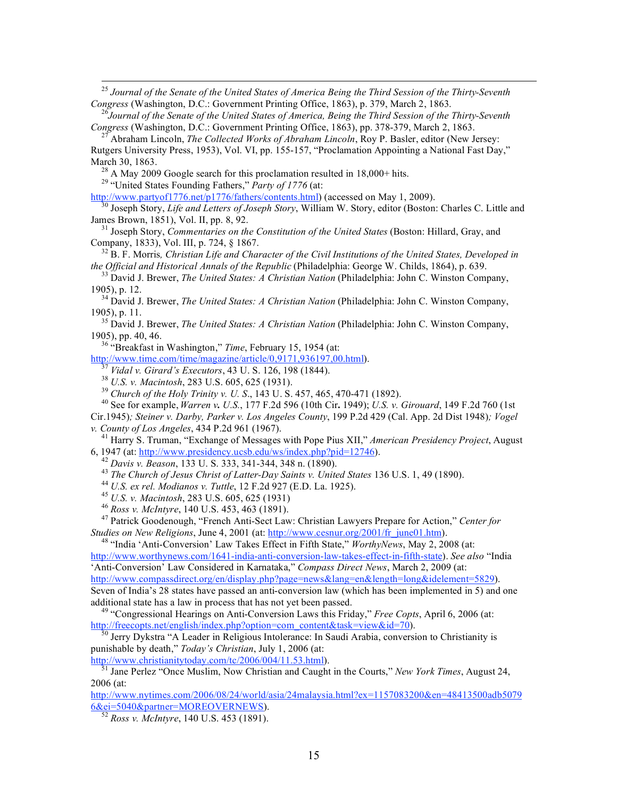25 *Journal of the Senate of the United States of America Being the Third Session of the Thirty-Seventh Congress* (Washington, D.C.: Government Printing Office, 1863), p. 379, March 2, 1863.<br><sup>26</sup>*Journal of the Senate of the United States of America, Being the Third Session of the Thirty-Seventh* 

*Congress* (Washington, D.C.: Government Printing Office, 1863), pp. 378-379, March 2, 1863. <sup>27</sup> Abraham Lincoln, *The Collected Works of Abraham Lincoln*, Roy P. Basler, editor (New Jersey:

Rutgers University Press, 1953), Vol. VI, pp. 155-157, "Proclamation Appointing a National Fast Day," March 30, 1863.<br><sup>28</sup> A May 2009 Google search for this proclamation resulted in 18,000+ hits.<br><sup>29</sup> "United States Founding Fathers," *Party of 1776* (at:

http://www.partyof1776.net/p1776/fathers/contents.html) (accessed on May 1, 2009). 30 Joseph Story, *Life and Letters of Joseph Story*, William W. Story, editor (Boston: Charles C. Little and

<sup>31</sup> Joseph Story, *Commentaries on the Constitution of the United States* (Boston: Hillard, Gray, and Company, 1833), Vol. III, p. 724, § 1867.<br><sup>32</sup> B. F. Morris, *Christian Life and Character of the Civil Institutions of the United States, Developed in* 

*the Official and Historical Annals of the Republic* (Philadelphia: George W. Childs, 1864), p. 639.<br><sup>33</sup> David J. Brewer, *The United States: A Christian Nation* (Philadelphia: John C. Winston Company,

1905), p. 12. <sup>34</sup> David J. Brewer, *The United States: A Christian Nation* (Philadelphia: John C. Winston Company,

<sup>35</sup> David J. Brewer, *The United States: A Christian Nation* (Philadelphia: John C. Winston Company, 1905), pp. 40, 46.

<sup>36</sup> "Breakfast in Washington," *Time*, February 15, 1954 (at:<br>http://www.time.com/time/magazine/article/0,9171,936197,00.html).

<sup>37</sup> Vidal v. Girard's Executors, 43 U. S. 126, 198 (1844).<br><sup>38</sup> U.S. v. Macintosh, 283 U.S. 605, 625 (1931).<br><sup>39</sup> Church of the Holy Trinity v. U. S., 143 U. S. 457, 465, 470-471 (1892).<br><sup>40</sup> See for example, *Warren v.* 

Cir.1945)*; Steiner v. Darby, Parker v. Los Angeles County*, 199 P.2d 429 (Cal. App. 2d Dist 1948)*; Vogel* 

*v. County of Los Angeles*, 434 P.2d 961 (1967).<br><sup>41</sup> Harry S. Truman, "Exchange of Messages with Pope Pius XII," *American Presidency Project*, August 6, 1947 (at: http://www.presidency.ucsb.edu/ws/index.php?pid=12746).

<sup>42</sup> Davis v. Beason, 133 U. S. 333, 341-344, 348 n. (1890).<br><sup>43</sup> The Church of Jesus Christ of Latter-Day Saints v. United States 136 U.S. 1, 49 (1890).<br><sup>44</sup> U.S. ex rel. Modianos v. Tuttle, 12 F.2d 927 (E.D. La. 1925).<br>

<sup>48</sup> "India 'Anti-Conversion' Law Takes Effect in Fifth State," *WorthyNews*, May 2, 2008 (at: http://www.worthynews.com/1641-india-anti-conversion-law-takes-effect-in-fifth-state). *See also* "India 'Anti-Conversion' Law Considered in Karnataka," *Compass Direct News*, March 2, 2009 (at:

http://www.compassdirect.org/en/display.php?page=news&lang=en&length=long&idelement=5829). Seven of India's 28 states have passed an anti-conversion law (which has been implemented in 5) and one

additional state has a law in process that has not yet been passed.<br><sup>49</sup> "Congressional Hearings on Anti-Conversion Laws this Friday," *Free Copts*, April 6, 2006 (at:<br>http://freecopts.net/english/index.php?option=com\_cont

<sup>50</sup> Jerry Dykstra "A Leader in Religious Intolerance: In Saudi Arabia, conversion to Christianity is punishable by death," *Today's Christian*, July 1, 2006 (at:<br>http://www.christianitytoday.com/tc/2006/004/11.53.html).

<sup>51</sup> Jane Perlez "Once Muslim, Now Christian and Caught in the Courts," *New York Times*, August 24, 2006 (at:

http://www.nytimes.com/2006/08/24/world/asia/24malaysia.html?ex=1157083200&en=48413500adb5079<br>6&ei=5040&partner=MOREOVERNEWS).

<sup>52</sup> Ross v. McIntyre, 140 U.S. 453 (1891).